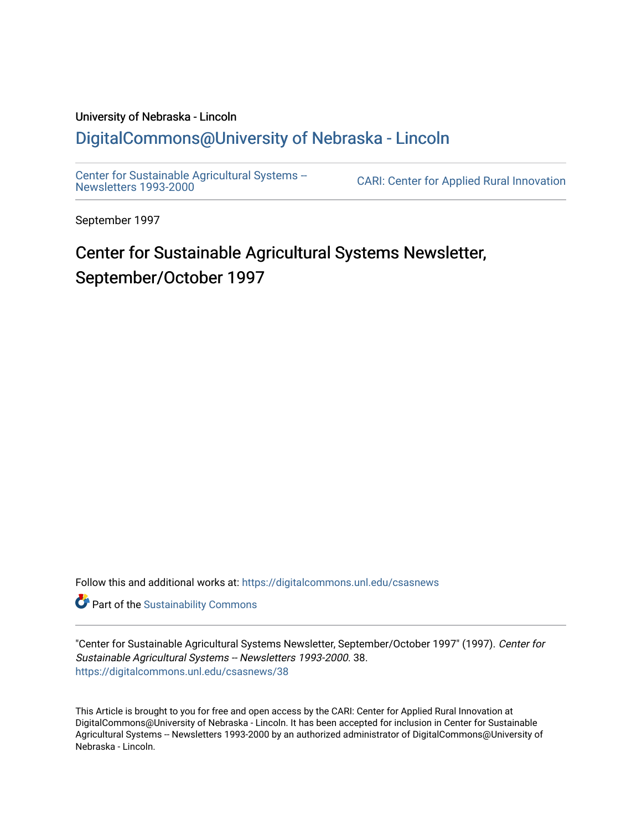#### University of Nebraska - Lincoln [DigitalCommons@University of Nebraska - Lincoln](https://digitalcommons.unl.edu/)

[Center for Sustainable Agricultural Systems --](https://digitalcommons.unl.edu/csasnews)<br>Newsletters 1993-2000

CARI: Center for Applied Rural Innovation

September 1997

# Center for Sustainable Agricultural Systems Newsletter, September/October 1997

Follow this and additional works at: [https://digitalcommons.unl.edu/csasnews](https://digitalcommons.unl.edu/csasnews?utm_source=digitalcommons.unl.edu%2Fcsasnews%2F38&utm_medium=PDF&utm_campaign=PDFCoverPages) 

**Part of the [Sustainability Commons](http://network.bepress.com/hgg/discipline/1031?utm_source=digitalcommons.unl.edu%2Fcsasnews%2F38&utm_medium=PDF&utm_campaign=PDFCoverPages)** 

"Center for Sustainable Agricultural Systems Newsletter, September/October 1997" (1997). Center for Sustainable Agricultural Systems -- Newsletters 1993-2000. 38. [https://digitalcommons.unl.edu/csasnews/38](https://digitalcommons.unl.edu/csasnews/38?utm_source=digitalcommons.unl.edu%2Fcsasnews%2F38&utm_medium=PDF&utm_campaign=PDFCoverPages) 

This Article is brought to you for free and open access by the CARI: Center for Applied Rural Innovation at DigitalCommons@University of Nebraska - Lincoln. It has been accepted for inclusion in Center for Sustainable Agricultural Systems -- Newsletters 1993-2000 by an authorized administrator of DigitalCommons@University of Nebraska - Lincoln.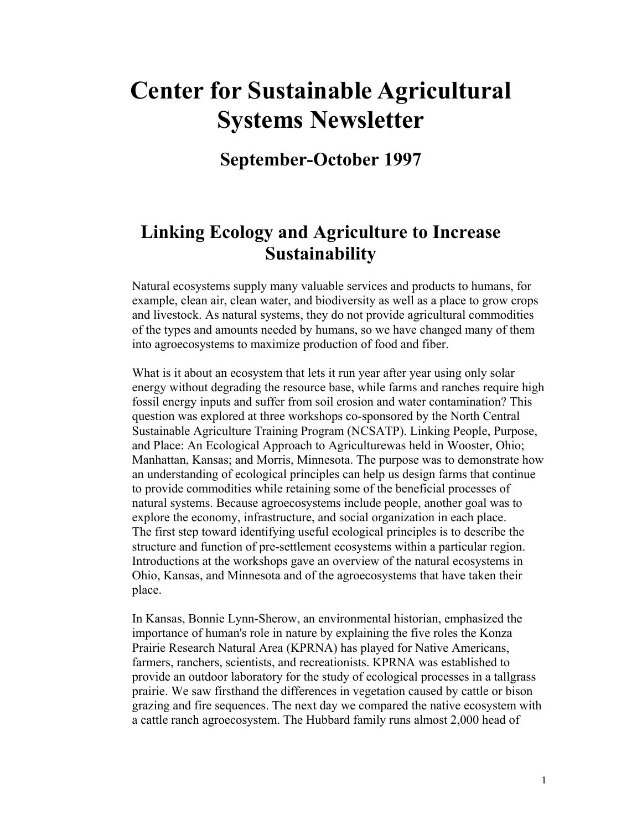# **Center for Sustainable Agricultural Systems Newsletter**

## **September-October 1997**

## **Linking Ecology and Agriculture to Increase Sustainability**

Natural ecosystems supply many valuable services and products to humans, for example, clean air, clean water, and biodiversity as well as a place to grow crops and livestock. As natural systems, they do not provide agricultural commodities of the types and amounts needed by humans, so we have changed many of them into agroecosystems to maximize production of food and fiber.

What is it about an ecosystem that lets it run year after year using only solar energy without degrading the resource base, while farms and ranches require high fossil energy inputs and suffer from soil erosion and water contamination? This question was explored at three workshops co-sponsored by the North Central Sustainable Agriculture Training Program (NCSATP). Linking People, Purpose, and Place: An Ecological Approach to Agriculturewas held in Wooster, Ohio; Manhattan, Kansas; and Morris, Minnesota. The purpose was to demonstrate how an understanding of ecological principles can help us design farms that continue to provide commodities while retaining some of the beneficial processes of natural systems. Because agroecosystems include people, another goal was to explore the economy, infrastructure, and social organization in each place. The first step toward identifying useful ecological principles is to describe the structure and function of pre-settlement ecosystems within a particular region. Introductions at the workshops gave an overview of the natural ecosystems in Ohio, Kansas, and Minnesota and of the agroecosystems that have taken their place.

In Kansas, Bonnie Lynn-Sherow, an environmental historian, emphasized the importance of human's role in nature by explaining the five roles the Konza Prairie Research Natural Area (KPRNA) has played for Native Americans, farmers, ranchers, scientists, and recreationists. KPRNA was established to provide an outdoor laboratory for the study of ecological processes in a tallgrass prairie. We saw firsthand the differences in vegetation caused by cattle or bison grazing and fire sequences. The next day we compared the native ecosystem with a cattle ranch agroecosystem. The Hubbard family runs almost 2,000 head of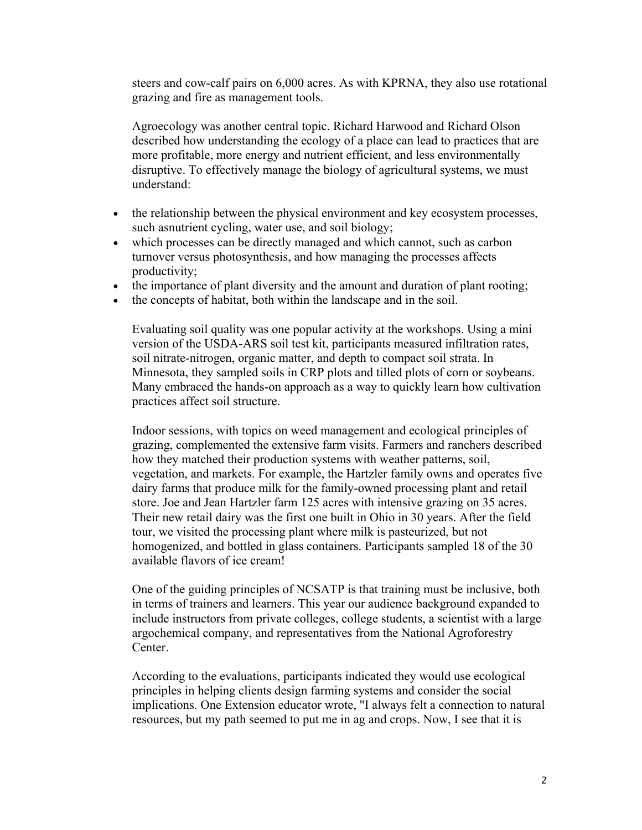steers and cow-calf pairs on 6,000 acres. As with KPRNA, they also use rotational grazing and fire as management tools.

Agroecology was another central topic. Richard Harwood and Richard Olson described how understanding the ecology of a place can lead to practices that are more profitable, more energy and nutrient efficient, and less environmentally disruptive. To effectively manage the biology of agricultural systems, we must understand:

- the relationship between the physical environment and key ecosystem processes, such asnutrient cycling, water use, and soil biology;
- which processes can be directly managed and which cannot, such as carbon turnover versus photosynthesis, and how managing the processes affects productivity;
- the importance of plant diversity and the amount and duration of plant rooting;
- the concepts of habitat, both within the landscape and in the soil.

Evaluating soil quality was one popular activity at the workshops. Using a mini version of the USDA-ARS soil test kit, participants measured infiltration rates, soil nitrate-nitrogen, organic matter, and depth to compact soil strata. In Minnesota, they sampled soils in CRP plots and tilled plots of corn or soybeans. Many embraced the hands-on approach as a way to quickly learn how cultivation practices affect soil structure.

Indoor sessions, with topics on weed management and ecological principles of grazing, complemented the extensive farm visits. Farmers and ranchers described how they matched their production systems with weather patterns, soil, vegetation, and markets. For example, the Hartzler family owns and operates five dairy farms that produce milk for the family-owned processing plant and retail store. Joe and Jean Hartzler farm 125 acres with intensive grazing on 35 acres. Their new retail dairy was the first one built in Ohio in 30 years. After the field tour, we visited the processing plant where milk is pasteurized, but not homogenized, and bottled in glass containers. Participants sampled 18 of the 30 available flavors of ice cream!

One of the guiding principles of NCSATP is that training must be inclusive, both in terms of trainers and learners. This year our audience background expanded to include instructors from private colleges, college students, a scientist with a large argochemical company, and representatives from the National Agroforestry **Center** 

According to the evaluations, participants indicated they would use ecological principles in helping clients design farming systems and consider the social implications. One Extension educator wrote, "I always felt a connection to natural resources, but my path seemed to put me in ag and crops. Now, I see that it is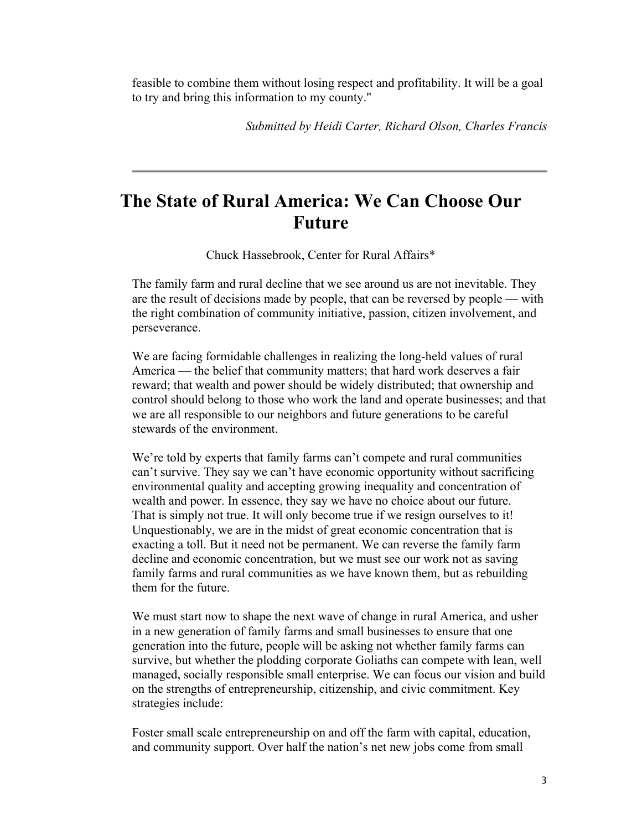feasible to combine them without losing respect and profitability. It will be a goal to try and bring this information to my county."

*Submitted by Heidi Carter, Richard Olson, Charles Francis*

### **The State of Rural America: We Can Choose Our Future**

Chuck Hassebrook, Center for Rural Affairs\*

The family farm and rural decline that we see around us are not inevitable. They are the result of decisions made by people, that can be reversed by people — with the right combination of community initiative, passion, citizen involvement, and perseverance.

We are facing formidable challenges in realizing the long-held values of rural America — the belief that community matters; that hard work deserves a fair reward; that wealth and power should be widely distributed; that ownership and control should belong to those who work the land and operate businesses; and that we are all responsible to our neighbors and future generations to be careful stewards of the environment.

We're told by experts that family farms can't compete and rural communities can't survive. They say we can't have economic opportunity without sacrificing environmental quality and accepting growing inequality and concentration of wealth and power. In essence, they say we have no choice about our future. That is simply not true. It will only become true if we resign ourselves to it! Unquestionably, we are in the midst of great economic concentration that is exacting a toll. But it need not be permanent. We can reverse the family farm decline and economic concentration, but we must see our work not as saving family farms and rural communities as we have known them, but as rebuilding them for the future.

We must start now to shape the next wave of change in rural America, and usher in a new generation of family farms and small businesses to ensure that one generation into the future, people will be asking not whether family farms can survive, but whether the plodding corporate Goliaths can compete with lean, well managed, socially responsible small enterprise. We can focus our vision and build on the strengths of entrepreneurship, citizenship, and civic commitment. Key strategies include:

Foster small scale entrepreneurship on and off the farm with capital, education, and community support. Over half the nation's net new jobs come from small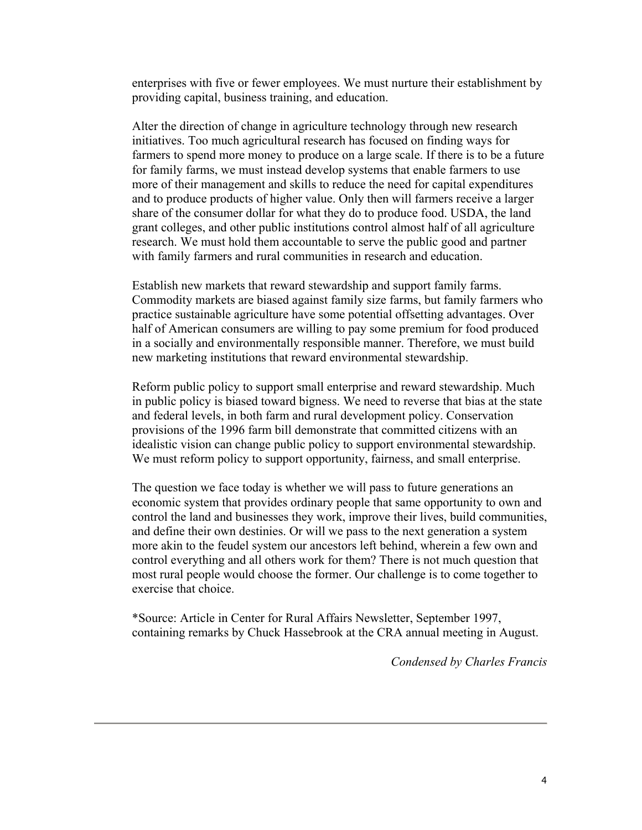enterprises with five or fewer employees. We must nurture their establishment by providing capital, business training, and education.

Alter the direction of change in agriculture technology through new research initiatives. Too much agricultural research has focused on finding ways for farmers to spend more money to produce on a large scale. If there is to be a future for family farms, we must instead develop systems that enable farmers to use more of their management and skills to reduce the need for capital expenditures and to produce products of higher value. Only then will farmers receive a larger share of the consumer dollar for what they do to produce food. USDA, the land grant colleges, and other public institutions control almost half of all agriculture research. We must hold them accountable to serve the public good and partner with family farmers and rural communities in research and education.

Establish new markets that reward stewardship and support family farms. Commodity markets are biased against family size farms, but family farmers who practice sustainable agriculture have some potential offsetting advantages. Over half of American consumers are willing to pay some premium for food produced in a socially and environmentally responsible manner. Therefore, we must build new marketing institutions that reward environmental stewardship.

Reform public policy to support small enterprise and reward stewardship. Much in public policy is biased toward bigness. We need to reverse that bias at the state and federal levels, in both farm and rural development policy. Conservation provisions of the 1996 farm bill demonstrate that committed citizens with an idealistic vision can change public policy to support environmental stewardship. We must reform policy to support opportunity, fairness, and small enterprise.

The question we face today is whether we will pass to future generations an economic system that provides ordinary people that same opportunity to own and control the land and businesses they work, improve their lives, build communities, and define their own destinies. Or will we pass to the next generation a system more akin to the feudel system our ancestors left behind, wherein a few own and control everything and all others work for them? There is not much question that most rural people would choose the former. Our challenge is to come together to exercise that choice.

\*Source: Article in Center for Rural Affairs Newsletter, September 1997, containing remarks by Chuck Hassebrook at the CRA annual meeting in August.

*Condensed by Charles Francis*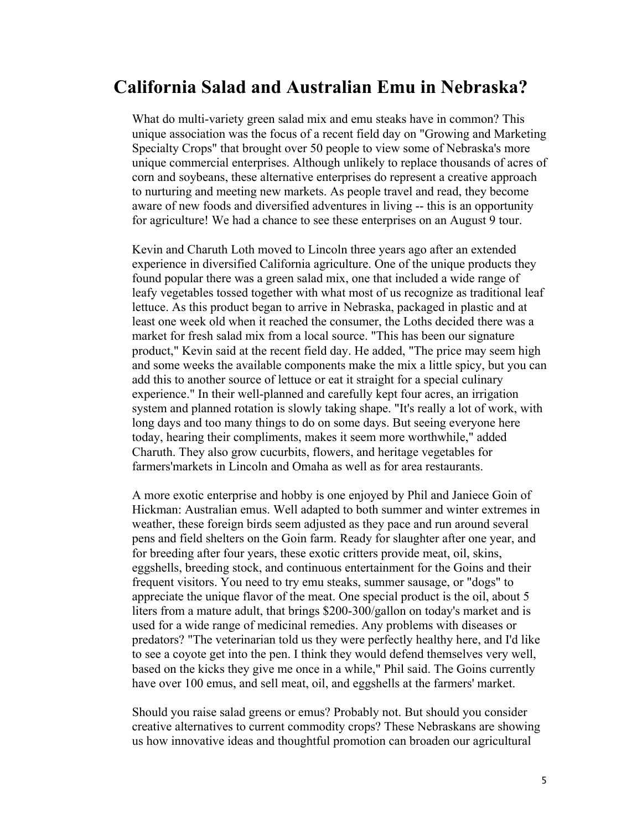#### **California Salad and Australian Emu in Nebraska?**

What do multi-variety green salad mix and emu steaks have in common? This unique association was the focus of a recent field day on "Growing and Marketing Specialty Crops" that brought over 50 people to view some of Nebraska's more unique commercial enterprises. Although unlikely to replace thousands of acres of corn and soybeans, these alternative enterprises do represent a creative approach to nurturing and meeting new markets. As people travel and read, they become aware of new foods and diversified adventures in living -- this is an opportunity for agriculture! We had a chance to see these enterprises on an August 9 tour.

Kevin and Charuth Loth moved to Lincoln three years ago after an extended experience in diversified California agriculture. One of the unique products they found popular there was a green salad mix, one that included a wide range of leafy vegetables tossed together with what most of us recognize as traditional leaf lettuce. As this product began to arrive in Nebraska, packaged in plastic and at least one week old when it reached the consumer, the Loths decided there was a market for fresh salad mix from a local source. "This has been our signature product," Kevin said at the recent field day. He added, "The price may seem high and some weeks the available components make the mix a little spicy, but you can add this to another source of lettuce or eat it straight for a special culinary experience." In their well-planned and carefully kept four acres, an irrigation system and planned rotation is slowly taking shape. "It's really a lot of work, with long days and too many things to do on some days. But seeing everyone here today, hearing their compliments, makes it seem more worthwhile," added Charuth. They also grow cucurbits, flowers, and heritage vegetables for farmers'markets in Lincoln and Omaha as well as for area restaurants.

A more exotic enterprise and hobby is one enjoyed by Phil and Janiece Goin of Hickman: Australian emus. Well adapted to both summer and winter extremes in weather, these foreign birds seem adjusted as they pace and run around several pens and field shelters on the Goin farm. Ready for slaughter after one year, and for breeding after four years, these exotic critters provide meat, oil, skins, eggshells, breeding stock, and continuous entertainment for the Goins and their frequent visitors. You need to try emu steaks, summer sausage, or "dogs" to appreciate the unique flavor of the meat. One special product is the oil, about 5 liters from a mature adult, that brings \$200-300/gallon on today's market and is used for a wide range of medicinal remedies. Any problems with diseases or predators? "The veterinarian told us they were perfectly healthy here, and I'd like to see a coyote get into the pen. I think they would defend themselves very well, based on the kicks they give me once in a while," Phil said. The Goins currently have over 100 emus, and sell meat, oil, and eggshells at the farmers' market.

Should you raise salad greens or emus? Probably not. But should you consider creative alternatives to current commodity crops? These Nebraskans are showing us how innovative ideas and thoughtful promotion can broaden our agricultural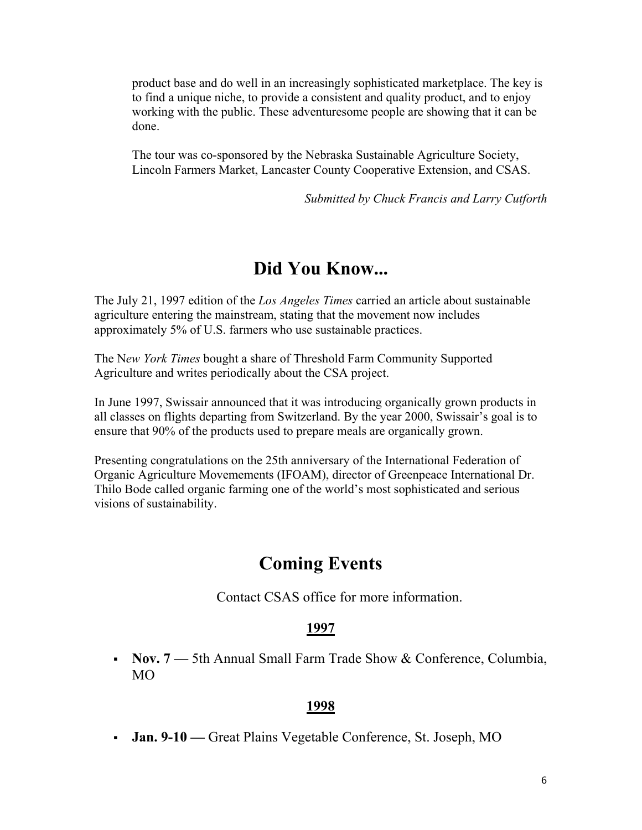product base and do well in an increasingly sophisticated marketplace. The key is to find a unique niche, to provide a consistent and quality product, and to enjoy working with the public. These adventuresome people are showing that it can be done.

The tour was co-sponsored by the Nebraska Sustainable Agriculture Society, Lincoln Farmers Market, Lancaster County Cooperative Extension, and CSAS.

*Submitted by Chuck Francis and Larry Cutforth* 

#### **Did You Know...**

The July 21, 1997 edition of the *Los Angeles Times* carried an article about sustainable agriculture entering the mainstream, stating that the movement now includes approximately 5% of U.S. farmers who use sustainable practices.

The N*ew York Times* bought a share of Threshold Farm Community Supported Agriculture and writes periodically about the CSA project.

In June 1997, Swissair announced that it was introducing organically grown products in all classes on flights departing from Switzerland. By the year 2000, Swissair's goal is to ensure that 90% of the products used to prepare meals are organically grown.

Presenting congratulations on the 25th anniversary of the International Federation of Organic Agriculture Movemements (IFOAM), director of Greenpeace International Dr. Thilo Bode called organic farming one of the world's most sophisticated and serious visions of sustainability.

## **Coming Events**

Contact CSAS office for more information.

#### **1997**

 **Nov. 7 —** 5th Annual Small Farm Trade Show & Conference, Columbia, MO

#### **1998**

**Jan. 9-10 —** Great Plains Vegetable Conference, St. Joseph, MO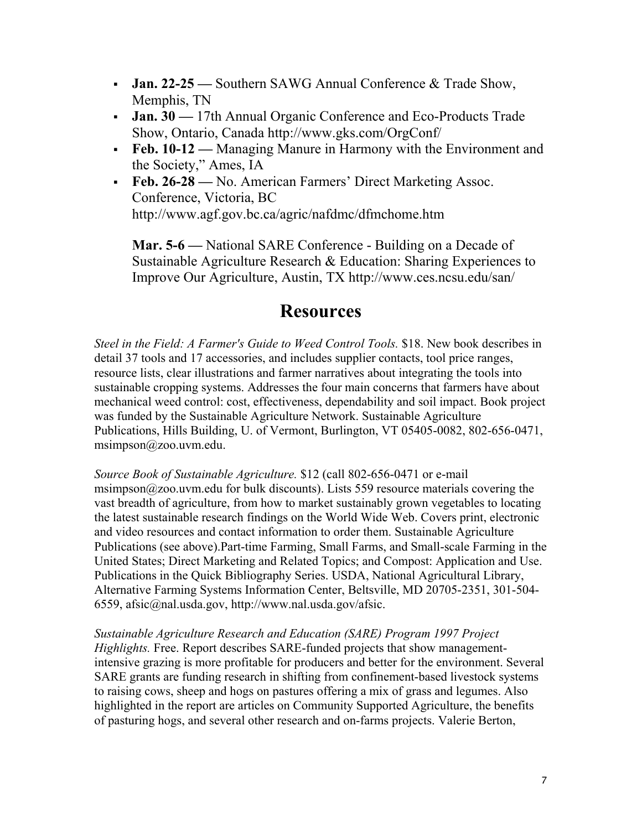- **Jan. 22-25 —** Southern SAWG Annual Conference & Trade Show, Memphis, TN
- **Jan. 30 —** 17th Annual Organic Conference and Eco-Products Trade Show, Ontario, Canada http://www.gks.com/OrgConf/
- **Feb. 10-12** Managing Manure in Harmony with the Environment and the Society," Ames, IA
- **Feb. 26-28** No. American Farmers' Direct Marketing Assoc. Conference, Victoria, BC http://www.agf.gov.bc.ca/agric/nafdmc/dfmchome.htm

**Mar. 5-6 —** National SARE Conference - Building on a Decade of Sustainable Agriculture Research & Education: Sharing Experiences to Improve Our Agriculture, Austin, TX http://www.ces.ncsu.edu/san/

#### **Resources**

*Steel in the Field: A Farmer's Guide to Weed Control Tools.* \$18. New book describes in detail 37 tools and 17 accessories, and includes supplier contacts, tool price ranges, resource lists, clear illustrations and farmer narratives about integrating the tools into sustainable cropping systems. Addresses the four main concerns that farmers have about mechanical weed control: cost, effectiveness, dependability and soil impact. Book project was funded by the Sustainable Agriculture Network. Sustainable Agriculture Publications, Hills Building, U. of Vermont, Burlington, VT 05405-0082, 802-656-0471, msimpson@zoo.uvm.edu.

*Source Book of Sustainable Agriculture.* \$12 (call 802-656-0471 or e-mail msimpson@zoo.uvm.edu for bulk discounts). Lists 559 resource materials covering the vast breadth of agriculture, from how to market sustainably grown vegetables to locating the latest sustainable research findings on the World Wide Web. Covers print, electronic and video resources and contact information to order them. Sustainable Agriculture Publications (see above).Part-time Farming, Small Farms, and Small-scale Farming in the United States; Direct Marketing and Related Topics; and Compost: Application and Use. Publications in the Quick Bibliography Series. USDA, National Agricultural Library, Alternative Farming Systems Information Center, Beltsville, MD 20705-2351, 301-504- 6559, afsic@nal.usda.gov, http://www.nal.usda.gov/afsic.

*Sustainable Agriculture Research and Education (SARE) Program 1997 Project Highlights.* Free. Report describes SARE-funded projects that show managementintensive grazing is more profitable for producers and better for the environment. Several SARE grants are funding research in shifting from confinement-based livestock systems to raising cows, sheep and hogs on pastures offering a mix of grass and legumes. Also highlighted in the report are articles on Community Supported Agriculture, the benefits of pasturing hogs, and several other research and on-farms projects. Valerie Berton,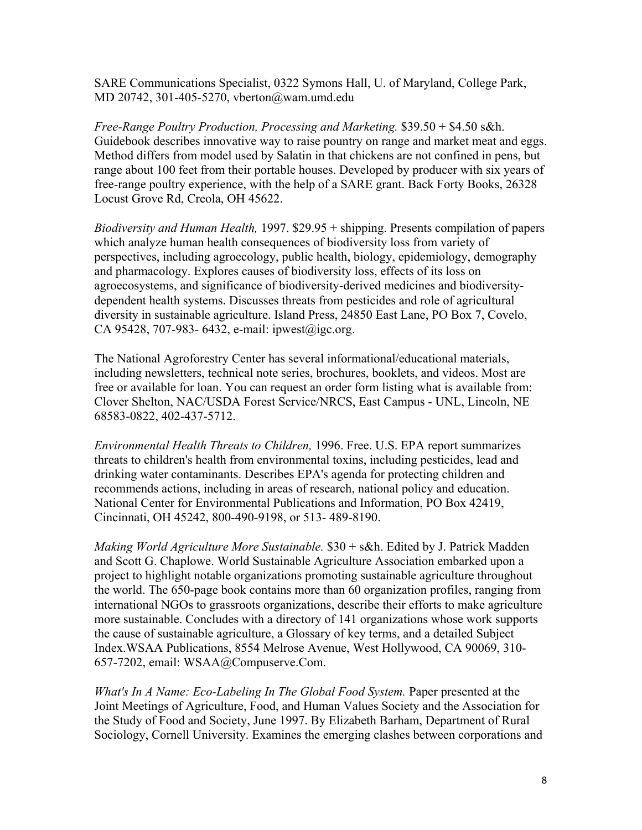SARE Communications Specialist, 0322 Symons Hall, U. of Maryland, College Park, MD 20742, 301-405-5270, vberton@wam.umd.edu

*Free-Range Poultry Production, Processing and Marketing.* \$39.50 + \$4.50 s&h. Guidebook describes innovative way to raise pountry on range and market meat and eggs. Method differs from model used by Salatin in that chickens are not confined in pens, but range about 100 feet from their portable houses. Developed by producer with six years of free-range poultry experience, with the help of a SARE grant. Back Forty Books, 26328 Locust Grove Rd, Creola, OH 45622.

*Biodiversity and Human Health,* 1997. \$29.95 + shipping. Presents compilation of papers which analyze human health consequences of biodiversity loss from variety of perspectives, including agroecology, public health, biology, epidemiology, demography and pharmacology. Explores causes of biodiversity loss, effects of its loss on agroecosystems, and significance of biodiversity-derived medicines and biodiversitydependent health systems. Discusses threats from pesticides and role of agricultural diversity in sustainable agriculture. Island Press, 24850 East Lane, PO Box 7, Covelo, CA 95428, 707-983- 6432, e-mail: ipwest@igc.org.

The National Agroforestry Center has several informational/educational materials, including newsletters, technical note series, brochures, booklets, and videos. Most are free or available for loan. You can request an order form listing what is available from: Clover Shelton, NAC/USDA Forest Service/NRCS, East Campus - UNL, Lincoln, NE 68583-0822, 402-437-5712.

*Environmental Health Threats to Children,* 1996. Free. U.S. EPA report summarizes threats to children's health from environmental toxins, including pesticides, lead and drinking water contaminants. Describes EPA's agenda for protecting children and recommends actions, including in areas of research, national policy and education. National Center for Environmental Publications and Information, PO Box 42419, Cincinnati, OH 45242, 800-490-9198, or 513- 489-8190.

*Making World Agriculture More Sustainable.* \$30 + s&h. Edited by J. Patrick Madden and Scott G. Chaplowe. World Sustainable Agriculture Association embarked upon a project to highlight notable organizations promoting sustainable agriculture throughout the world. The 650-page book contains more than 60 organization profiles, ranging from international NGOs to grassroots organizations, describe their efforts to make agriculture more sustainable. Concludes with a directory of 141 organizations whose work supports the cause of sustainable agriculture, a Glossary of key terms, and a detailed Subject Index.WSAA Publications, 8554 Melrose Avenue, West Hollywood, CA 90069, 310- 657-7202, email: WSAA@Compuserve.Com.

*What's In A Name: Eco-Labeling In The Global Food System.* Paper presented at the Joint Meetings of Agriculture, Food, and Human Values Society and the Association for the Study of Food and Society, June 1997. By Elizabeth Barham, Department of Rural Sociology, Cornell University. Examines the emerging clashes between corporations and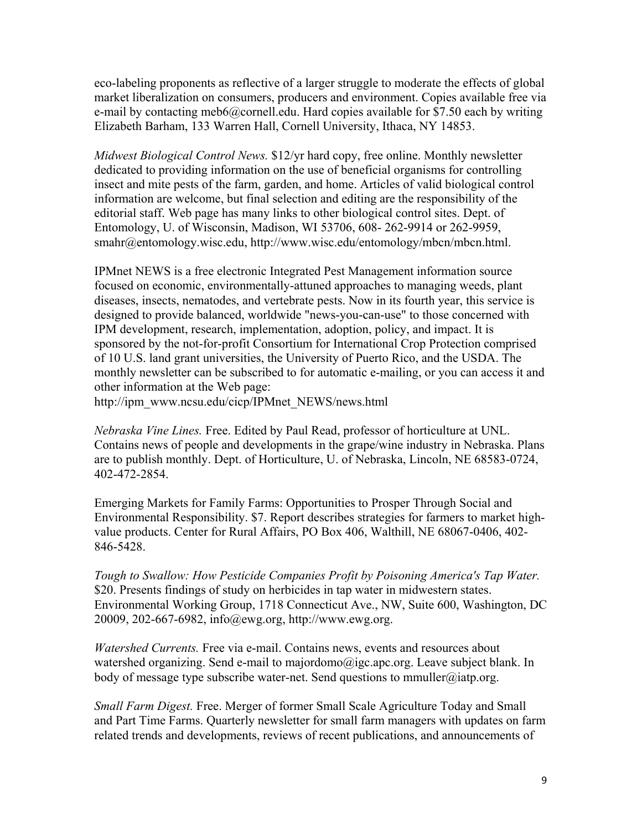eco-labeling proponents as reflective of a larger struggle to moderate the effects of global market liberalization on consumers, producers and environment. Copies available free via e-mail by contacting meb6@cornell.edu. Hard copies available for \$7.50 each by writing Elizabeth Barham, 133 Warren Hall, Cornell University, Ithaca, NY 14853.

*Midwest Biological Control News.* \$12/yr hard copy, free online. Monthly newsletter dedicated to providing information on the use of beneficial organisms for controlling insect and mite pests of the farm, garden, and home. Articles of valid biological control information are welcome, but final selection and editing are the responsibility of the editorial staff. Web page has many links to other biological control sites. Dept. of Entomology, U. of Wisconsin, Madison, WI 53706, 608- 262-9914 or 262-9959, smahr@entomology.wisc.edu, http://www.wisc.edu/entomology/mbcn/mbcn.html.

IPMnet NEWS is a free electronic Integrated Pest Management information source focused on economic, environmentally-attuned approaches to managing weeds, plant diseases, insects, nematodes, and vertebrate pests. Now in its fourth year, this service is designed to provide balanced, worldwide "news-you-can-use" to those concerned with IPM development, research, implementation, adoption, policy, and impact. It is sponsored by the not-for-profit Consortium for International Crop Protection comprised of 10 U.S. land grant universities, the University of Puerto Rico, and the USDA. The monthly newsletter can be subscribed to for automatic e-mailing, or you can access it and other information at the Web page:

http://ipm\_www.ncsu.edu/cicp/IPMnet\_NEWS/news.html

*Nebraska Vine Lines.* Free. Edited by Paul Read, professor of horticulture at UNL. Contains news of people and developments in the grape/wine industry in Nebraska. Plans are to publish monthly. Dept. of Horticulture, U. of Nebraska, Lincoln, NE 68583-0724, 402-472-2854.

Emerging Markets for Family Farms: Opportunities to Prosper Through Social and Environmental Responsibility. \$7. Report describes strategies for farmers to market highvalue products. Center for Rural Affairs, PO Box 406, Walthill, NE 68067-0406, 402- 846-5428.

*Tough to Swallow: How Pesticide Companies Profit by Poisoning America's Tap Water.*  \$20. Presents findings of study on herbicides in tap water in midwestern states. Environmental Working Group, 1718 Connecticut Ave., NW, Suite 600, Washington, DC 20009, 202-667-6982, info@ewg.org, http://www.ewg.org.

*Watershed Currents.* Free via e-mail. Contains news, events and resources about watershed organizing. Send e-mail to majordomo@igc.apc.org. Leave subject blank. In body of message type subscribe water-net. Send questions to mmuller@iatp.org.

*Small Farm Digest.* Free. Merger of former Small Scale Agriculture Today and Small and Part Time Farms. Quarterly newsletter for small farm managers with updates on farm related trends and developments, reviews of recent publications, and announcements of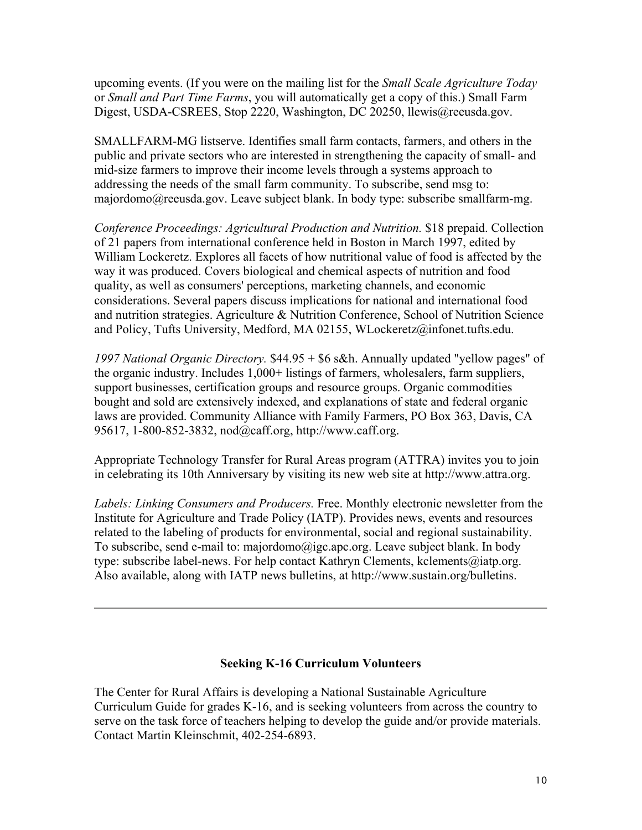upcoming events. (If you were on the mailing list for the *Small Scale Agriculture Today* or *Small and Part Time Farms*, you will automatically get a copy of this.) Small Farm Digest, USDA-CSREES, Stop 2220, Washington, DC 20250, llewis@reeusda.gov.

SMALLFARM-MG listserve. Identifies small farm contacts, farmers, and others in the public and private sectors who are interested in strengthening the capacity of small- and mid-size farmers to improve their income levels through a systems approach to addressing the needs of the small farm community. To subscribe, send msg to: majordomo@reeusda.gov. Leave subject blank. In body type: subscribe smallfarm-mg.

*Conference Proceedings: Agricultural Production and Nutrition.* \$18 prepaid. Collection of 21 papers from international conference held in Boston in March 1997, edited by William Lockeretz. Explores all facets of how nutritional value of food is affected by the way it was produced. Covers biological and chemical aspects of nutrition and food quality, as well as consumers' perceptions, marketing channels, and economic considerations. Several papers discuss implications for national and international food and nutrition strategies. Agriculture & Nutrition Conference, School of Nutrition Science and Policy, Tufts University, Medford, MA 02155, WLockeretz@infonet.tufts.edu.

*1997 National Organic Directory.* \$44.95 + \$6 s&h. Annually updated "yellow pages" of the organic industry. Includes 1,000+ listings of farmers, wholesalers, farm suppliers, support businesses, certification groups and resource groups. Organic commodities bought and sold are extensively indexed, and explanations of state and federal organic laws are provided. Community Alliance with Family Farmers, PO Box 363, Davis, CA 95617, 1-800-852-3832, nod@caff.org, http://www.caff.org.

Appropriate Technology Transfer for Rural Areas program (ATTRA) invites you to join in celebrating its 10th Anniversary by visiting its new web site at http://www.attra.org.

*Labels: Linking Consumers and Producers.* Free. Monthly electronic newsletter from the Institute for Agriculture and Trade Policy (IATP). Provides news, events and resources related to the labeling of products for environmental, social and regional sustainability. To subscribe, send e-mail to: majordomo@igc.apc.org. Leave subject blank. In body type: subscribe label-news. For help contact Kathryn Clements, kclements@iatp.org. Also available, along with IATP news bulletins, at http://www.sustain.org/bulletins.

#### **Seeking K-16 Curriculum Volunteers**

The Center for Rural Affairs is developing a National Sustainable Agriculture Curriculum Guide for grades K-16, and is seeking volunteers from across the country to serve on the task force of teachers helping to develop the guide and/or provide materials. Contact Martin Kleinschmit, 402-254-6893.